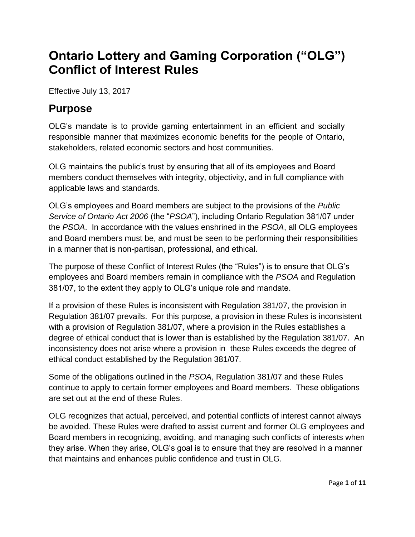# **Ontario Lottery and Gaming Corporation ("OLG") Conflict of Interest Rules**

Effective July 13, 2017

### **Purpose**

OLG's mandate is to provide gaming entertainment in an efficient and socially responsible manner that maximizes economic benefits for the people of Ontario, stakeholders, related economic sectors and host communities.

OLG maintains the public's trust by ensuring that all of its employees and Board members conduct themselves with integrity, objectivity, and in full compliance with applicable laws and standards.

OLG's employees and Board members are subject to the provisions of the *Public Service of Ontario Act 2006* (the "*PSOA*"), including Ontario Regulation 381/07 under the *PSOA*. In accordance with the values enshrined in the *PSOA*, all OLG employees and Board members must be, and must be seen to be performing their responsibilities in a manner that is non-partisan, professional, and ethical.

The purpose of these Conflict of Interest Rules (the "Rules") is to ensure that OLG's employees and Board members remain in compliance with the *PSOA* and Regulation 381/07, to the extent they apply to OLG's unique role and mandate.

If a provision of these Rules is inconsistent with Regulation 381/07, the provision in Regulation 381/07 prevails. For this purpose, a provision in these Rules is inconsistent with a provision of Regulation 381/07, where a provision in the Rules establishes a degree of ethical conduct that is lower than is established by the Regulation 381/07. An inconsistency does not arise where a provision in these Rules exceeds the degree of ethical conduct established by the Regulation 381/07.

Some of the obligations outlined in the *PSOA*, Regulation 381/07 and these Rules continue to apply to certain former employees and Board members. These obligations are set out at the end of these Rules.

OLG recognizes that actual, perceived, and potential conflicts of interest cannot always be avoided. These Rules were drafted to assist current and former OLG employees and Board members in recognizing, avoiding, and managing such conflicts of interests when they arise. When they arise, OLG's goal is to ensure that they are resolved in a manner that maintains and enhances public confidence and trust in OLG.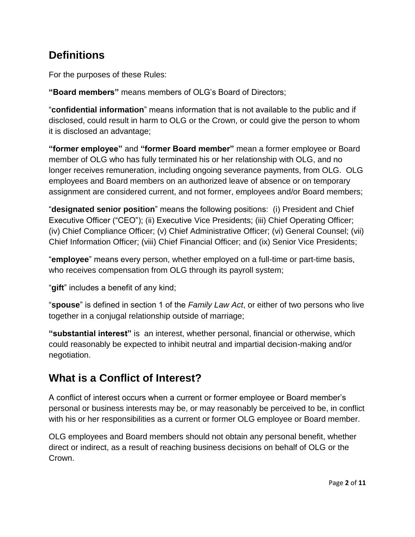### **Definitions**

For the purposes of these Rules:

**"Board members"** means members of OLG's Board of Directors;

"**confidential information**" means information that is not available to the public and if disclosed, could result in harm to OLG or the Crown, or could give the person to whom it is disclosed an advantage;

**"former employee"** and **"former Board member"** mean a former employee or Board member of OLG who has fully terminated his or her relationship with OLG, and no longer receives remuneration, including ongoing severance payments, from OLG. OLG employees and Board members on an authorized leave of absence or on temporary assignment are considered current, and not former, employees and/or Board members;

"**designated senior position**" means the following positions: (i) President and Chief Executive Officer ("CEO"); (ii) Executive Vice Presidents; (iii) Chief Operating Officer; (iv) Chief Compliance Officer; (v) Chief Administrative Officer; (vi) General Counsel; (vii) Chief Information Officer; (viii) Chief Financial Officer; and (ix) Senior Vice Presidents;

"**employee**" means every person, whether employed on a full-time or part-time basis, who receives compensation from OLG through its payroll system;

"**gift**" includes a benefit of any kind;

"**spouse**" is defined in section 1 of the *Family Law Act*, or either of two persons who live together in a conjugal relationship outside of marriage;

**"substantial interest"** is an interest, whether personal, financial or otherwise, which could reasonably be expected to inhibit neutral and impartial decision-making and/or negotiation.

# **What is a Conflict of Interest?**

A conflict of interest occurs when a current or former employee or Board member's personal or business interests may be, or may reasonably be perceived to be, in conflict with his or her responsibilities as a current or former OLG employee or Board member.

OLG employees and Board members should not obtain any personal benefit, whether direct or indirect, as a result of reaching business decisions on behalf of OLG or the Crown.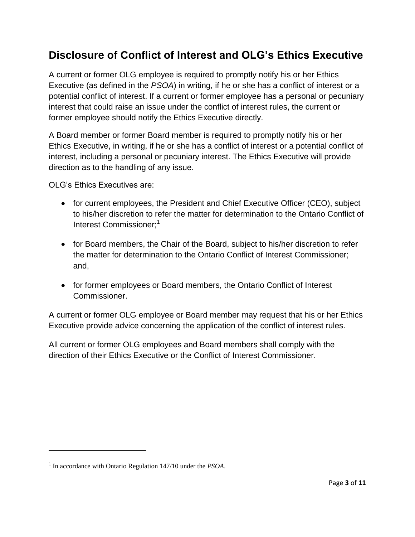## **Disclosure of Conflict of Interest and OLG's Ethics Executive**

A current or former OLG employee is required to promptly notify his or her Ethics Executive (as defined in the *PSOA*) in writing, if he or she has a conflict of interest or a potential conflict of interest. If a current or former employee has a personal or pecuniary interest that could raise an issue under the conflict of interest rules, the current or former employee should notify the Ethics Executive directly.

A Board member or former Board member is required to promptly notify his or her Ethics Executive, in writing, if he or she has a conflict of interest or a potential conflict of interest, including a personal or pecuniary interest. The Ethics Executive will provide direction as to the handling of any issue.

OLG's Ethics Executives are:

- for current employees, the President and Chief Executive Officer (CEO), subject to his/her discretion to refer the matter for determination to the Ontario Conflict of Interest Commissioner:<sup>1</sup>
- for Board members, the Chair of the Board, subject to his/her discretion to refer the matter for determination to the Ontario Conflict of Interest Commissioner; and,
- for former employees or Board members, the Ontario Conflict of Interest Commissioner.

A current or former OLG employee or Board member may request that his or her Ethics Executive provide advice concerning the application of the conflict of interest rules.

All current or former OLG employees and Board members shall comply with the direction of their Ethics Executive or the Conflict of Interest Commissioner.

 $\overline{\phantom{a}}$ 

<sup>1</sup> In accordance with Ontario Regulation 147/10 under the *PSOA*.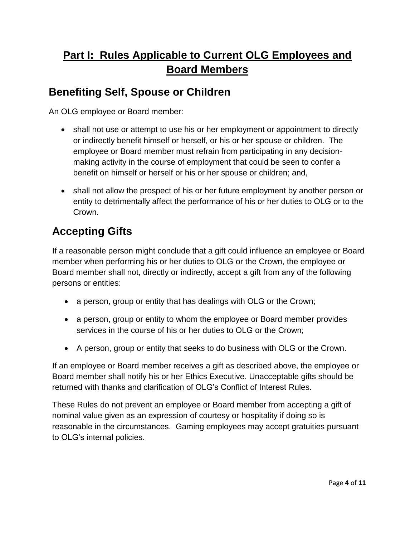# **Part I: Rules Applicable to Current OLG Employees and Board Members**

#### **Benefiting Self, Spouse or Children**

An OLG employee or Board member:

- shall not use or attempt to use his or her employment or appointment to directly or indirectly benefit himself or herself, or his or her spouse or children. The employee or Board member must refrain from participating in any decisionmaking activity in the course of employment that could be seen to confer a benefit on himself or herself or his or her spouse or children; and,
- shall not allow the prospect of his or her future employment by another person or entity to detrimentally affect the performance of his or her duties to OLG or to the Crown.

# **Accepting Gifts**

If a reasonable person might conclude that a gift could influence an employee or Board member when performing his or her duties to OLG or the Crown, the employee or Board member shall not, directly or indirectly, accept a gift from any of the following persons or entities:

- a person, group or entity that has dealings with OLG or the Crown;
- a person, group or entity to whom the employee or Board member provides services in the course of his or her duties to OLG or the Crown;
- A person, group or entity that seeks to do business with OLG or the Crown.

If an employee or Board member receives a gift as described above, the employee or Board member shall notify his or her Ethics Executive. Unacceptable gifts should be returned with thanks and clarification of OLG's Conflict of Interest Rules.

These Rules do not prevent an employee or Board member from accepting a gift of nominal value given as an expression of courtesy or hospitality if doing so is reasonable in the circumstances. Gaming employees may accept gratuities pursuant to OLG's internal policies.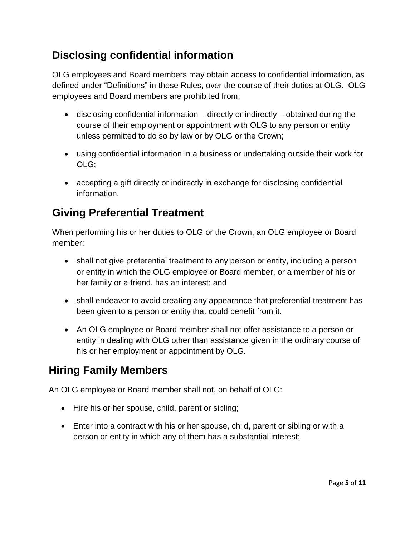## **Disclosing confidential information**

OLG employees and Board members may obtain access to confidential information, as defined under "Definitions" in these Rules, over the course of their duties at OLG. OLG employees and Board members are prohibited from:

- disclosing confidential information directly or indirectly obtained during the course of their employment or appointment with OLG to any person or entity unless permitted to do so by law or by OLG or the Crown;
- using confidential information in a business or undertaking outside their work for OLG;
- accepting a gift directly or indirectly in exchange for disclosing confidential information.

# **Giving Preferential Treatment**

When performing his or her duties to OLG or the Crown, an OLG employee or Board member:

- shall not give preferential treatment to any person or entity, including a person or entity in which the OLG employee or Board member, or a member of his or her family or a friend, has an interest; and
- shall endeavor to avoid creating any appearance that preferential treatment has been given to a person or entity that could benefit from it.
- An OLG employee or Board member shall not offer assistance to a person or entity in dealing with OLG other than assistance given in the ordinary course of his or her employment or appointment by OLG.

# **Hiring Family Members**

An OLG employee or Board member shall not, on behalf of OLG:

- Hire his or her spouse, child, parent or sibling;
- Enter into a contract with his or her spouse, child, parent or sibling or with a person or entity in which any of them has a substantial interest;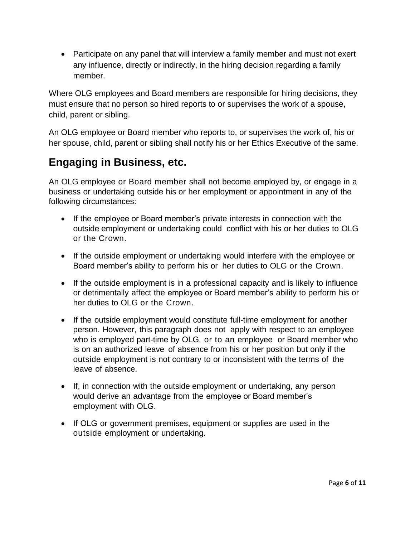Participate on any panel that will interview a family member and must not exert any influence, directly or indirectly, in the hiring decision regarding a family member.

Where OLG employees and Board members are responsible for hiring decisions, they must ensure that no person so hired reports to or supervises the work of a spouse, child, parent or sibling.

An OLG employee or Board member who reports to, or supervises the work of, his or her spouse, child, parent or sibling shall notify his or her Ethics Executive of the same.

### **Engaging in Business, etc.**

An OLG employee or Board member shall not become employed by, or engage in a business or undertaking outside his or her employment or appointment in any of the following circumstances:

- If the employee or Board member's private interests in connection with the outside employment or undertaking could conflict with his or her duties to OLG or the Crown.
- If the outside employment or undertaking would interfere with the employee or Board member's ability to perform his or her duties to OLG or the Crown.
- If the outside employment is in a professional capacity and is likely to influence or detrimentally affect the employee or Board member's ability to perform his or her duties to OLG or the Crown.
- If the outside employment would constitute full-time employment for another person. However, this paragraph does not apply with respect to an employee who is employed part-time by OLG, or to an employee or Board member who is on an authorized leave of absence from his or her position but only if the outside employment is not contrary to or inconsistent with the terms of the leave of absence.
- If, in connection with the outside employment or undertaking, any person would derive an advantage from the employee or Board member's employment with OLG.
- If OLG or government premises, equipment or supplies are used in the outside employment or undertaking.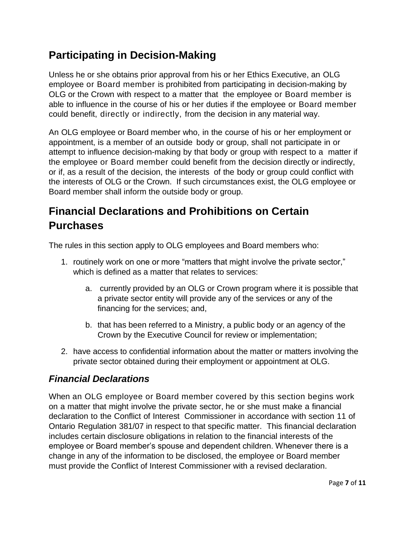## **Participating in Decision-Making**

Unless he or she obtains prior approval from his or her Ethics Executive, an OLG employee or Board member is prohibited from participating in decision-making by OLG or the Crown with respect to a matter that the employee or Board member is able to influence in the course of his or her duties if the employee or Board member could benefit, directly or indirectly, from the decision in any material way.

An OLG employee or Board member who, in the course of his or her employment or appointment, is a member of an outside body or group, shall not participate in or attempt to influence decision-making by that body or group with respect to a matter if the employee or Board member could benefit from the decision directly or indirectly, or if, as a result of the decision, the interests of the body or group could conflict with the interests of OLG or the Crown. If such circumstances exist, the OLG employee or Board member shall inform the outside body or group.

# **Financial Declarations and Prohibitions on Certain Purchases**

The rules in this section apply to OLG employees and Board members who:

- 1. routinely work on one or more "matters that might involve the private sector," which is defined as a matter that relates to services:
	- a. currently provided by an OLG or Crown program where it is possible that a private sector entity will provide any of the services or any of the financing for the services; and,
	- b. that has been referred to a Ministry, a public body or an agency of the Crown by the Executive Council for review or implementation;
- 2. have access to confidential information about the matter or matters involving the private sector obtained during their employment or appointment at OLG.

#### *Financial Declarations*

When an OLG employee or Board member covered by this section begins work on a matter that might involve the private sector, he or she must make a financial declaration to the Conflict of Interest Commissioner in accordance with section 11 of Ontario Regulation 381/07 in respect to that specific matter. This financial declaration includes certain disclosure obligations in relation to the financial interests of the employee or Board member's spouse and dependent children. Whenever there is a change in any of the information to be disclosed, the employee or Board member must provide the Conflict of Interest Commissioner with a revised declaration.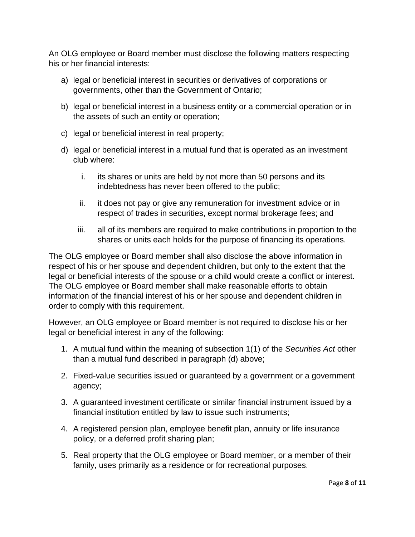An OLG employee or Board member must disclose the following matters respecting his or her financial interests:

- a) legal or beneficial interest in securities or derivatives of corporations or governments, other than the Government of Ontario;
- b) legal or beneficial interest in a business entity or a commercial operation or in the assets of such an entity or operation;
- c) legal or beneficial interest in real property;
- d) legal or beneficial interest in a mutual fund that is operated as an investment club where:
	- i. its shares or units are held by not more than 50 persons and its indebtedness has never been offered to the public;
	- ii. it does not pay or give any remuneration for investment advice or in respect of trades in securities, except normal brokerage fees; and
	- iii. all of its members are required to make contributions in proportion to the shares or units each holds for the purpose of financing its operations.

The OLG employee or Board member shall also disclose the above information in respect of his or her spouse and dependent children, but only to the extent that the legal or beneficial interests of the spouse or a child would create a conflict or interest. The OLG employee or Board member shall make reasonable efforts to obtain information of the financial interest of his or her spouse and dependent children in order to comply with this requirement.

However, an OLG employee or Board member is not required to disclose his or her legal or beneficial interest in any of the following:

- 1. A mutual fund within the meaning of subsection 1(1) of the *Securities Act* other than a mutual fund described in paragraph (d) above;
- 2. Fixed-value securities issued or guaranteed by a government or a government agency;
- 3. A guaranteed investment certificate or similar financial instrument issued by a financial institution entitled by law to issue such instruments;
- 4. A registered pension plan, employee benefit plan, annuity or life insurance policy, or a deferred profit sharing plan;
- 5. Real property that the OLG employee or Board member, or a member of their family, uses primarily as a residence or for recreational purposes.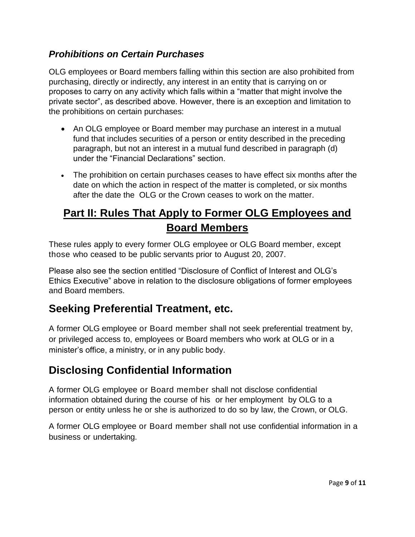#### *Prohibitions on Certain Purchases*

OLG employees or Board members falling within this section are also prohibited from purchasing, directly or indirectly, any interest in an entity that is carrying on or proposes to carry on any activity which falls within a "matter that might involve the private sector", as described above. However, there is an exception and limitation to the prohibitions on certain purchases:

- An OLG employee or Board member may purchase an interest in a mutual fund that includes securities of a person or entity described in the preceding paragraph, but not an interest in a mutual fund described in paragraph (d) under the "Financial Declarations" section.
- The prohibition on certain purchases ceases to have effect six months after the date on which the action in respect of the matter is completed, or six months after the date the OLG or the Crown ceases to work on the matter.

# **Part II: Rules That Apply to Former OLG Employees and Board Members**

These rules apply to every former OLG employee or OLG Board member, except those who ceased to be public servants prior to August 20, 2007.

Please also see the section entitled "Disclosure of Conflict of Interest and OLG's Ethics Executive" above in relation to the disclosure obligations of former employees and Board members.

### **Seeking Preferential Treatment, etc.**

A former OLG employee or Board member shall not seek preferential treatment by, or privileged access to, employees or Board members who work at OLG or in a minister's office, a ministry, or in any public body.

### **Disclosing Confidential Information**

A former OLG employee or Board member shall not disclose confidential information obtained during the course of his or her employment by OLG to a person or entity unless he or she is authorized to do so by law, the Crown, or OLG.

A former OLG employee or Board member shall not use confidential information in a business or undertaking.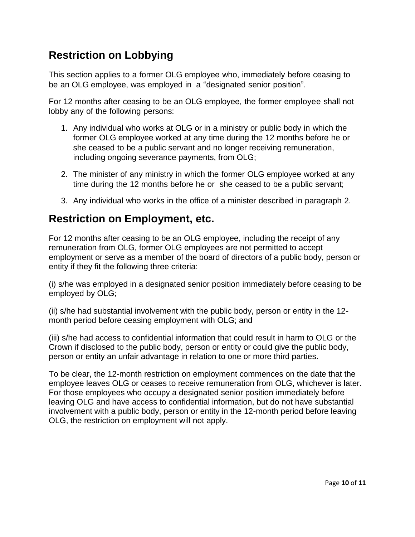#### **Restriction on Lobbying**

This section applies to a former OLG employee who, immediately before ceasing to be an OLG employee, was employed in a "designated senior position".

For 12 months after ceasing to be an OLG employee, the former employee shall not lobby any of the following persons:

- 1. Any individual who works at OLG or in a ministry or public body in which the former OLG employee worked at any time during the 12 months before he or she ceased to be a public servant and no longer receiving remuneration, including ongoing severance payments, from OLG;
- 2. The minister of any ministry in which the former OLG employee worked at any time during the 12 months before he or she ceased to be a public servant;
- 3. Any individual who works in the office of a minister described in paragraph 2.

#### **Restriction on Employment, etc.**

For 12 months after ceasing to be an OLG employee, including the receipt of any remuneration from OLG, former OLG employees are not permitted to accept employment or serve as a member of the board of directors of a public body, person or entity if they fit the following three criteria:

(i) s/he was employed in a designated senior position immediately before ceasing to be employed by OLG;

(ii) s/he had substantial involvement with the public body, person or entity in the 12 month period before ceasing employment with OLG; and

(iii) s/he had access to confidential information that could result in harm to OLG or the Crown if disclosed to the public body, person or entity or could give the public body, person or entity an unfair advantage in relation to one or more third parties.

To be clear, the 12-month restriction on employment commences on the date that the employee leaves OLG or ceases to receive remuneration from OLG, whichever is later. For those employees who occupy a designated senior position immediately before leaving OLG and have access to confidential information, but do not have substantial involvement with a public body, person or entity in the 12-month period before leaving OLG, the restriction on employment will not apply.